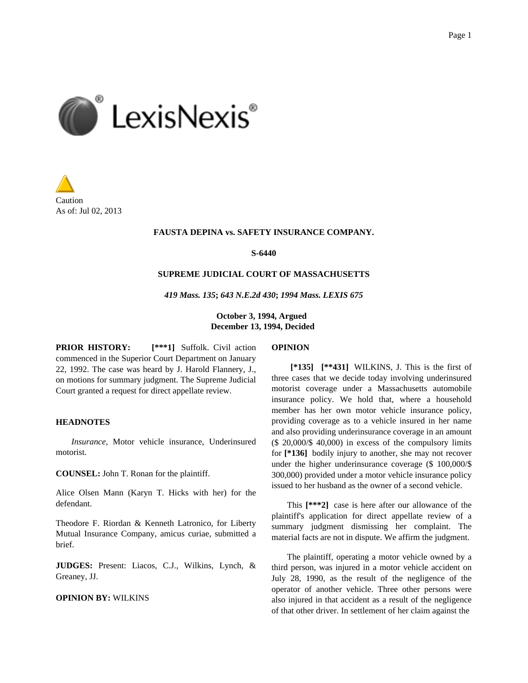



#### **FAUSTA DEPINA vs. SAFETY INSURANCE COMPANY.**

**S-6440**

### **SUPREME JUDICIAL COURT OF MASSACHUSETTS**

*419 Mass. 135***;** *643 N.E.2d 430***;** *1994 Mass. LEXIS 675*

**October 3, 1994, Argued December 13, 1994, Decided**

**PRIOR HISTORY: [\*\*\*1]** Suffolk. Civil action commenced in the Superior Court Department on January 22, 1992. The case was heard by J. Harold Flannery, J., on motions for summary judgment. The Supreme Judicial Court granted a request for direct appellate review.

## **HEADNOTES**

*Insurance,* Motor vehicle insurance, Underinsured motorist.

**COUNSEL:** John T. Ronan for the plaintiff.

Alice Olsen Mann (Karyn T. Hicks with her) for the defendant.

Theodore F. Riordan & Kenneth Latronico, for Liberty Mutual Insurance Company, amicus curiae, submitted a brief.

**JUDGES:** Present: Liacos, C.J., Wilkins, Lynch, & Greaney, JJ.

# **OPINION BY:** WILKINS

#### **OPINION**

**[\*135] [\*\*431]** WILKINS, J. This is the first of three cases that we decide today involving underinsured motorist coverage under a Massachusetts automobile insurance policy. We hold that, where a household member has her own motor vehicle insurance policy, providing coverage as to a vehicle insured in her name and also providing underinsurance coverage in an amount (\$ 20,000/\$ 40,000) in excess of the compulsory limits for **[\*136]** bodily injury to another, she may not recover under the higher underinsurance coverage (\$ 100,000/\$ 300,000) provided under a motor vehicle insurance policy issued to her husband as the owner of a second vehicle.

This **[\*\*\*2]** case is here after our allowance of the plaintiff's application for direct appellate review of a summary judgment dismissing her complaint. The material facts are not in dispute. We affirm the judgment.

The plaintiff, operating a motor vehicle owned by a third person, was injured in a motor vehicle accident on July 28, 1990, as the result of the negligence of the operator of another vehicle. Three other persons were also injured in that accident as a result of the negligence of that other driver. In settlement of her claim against the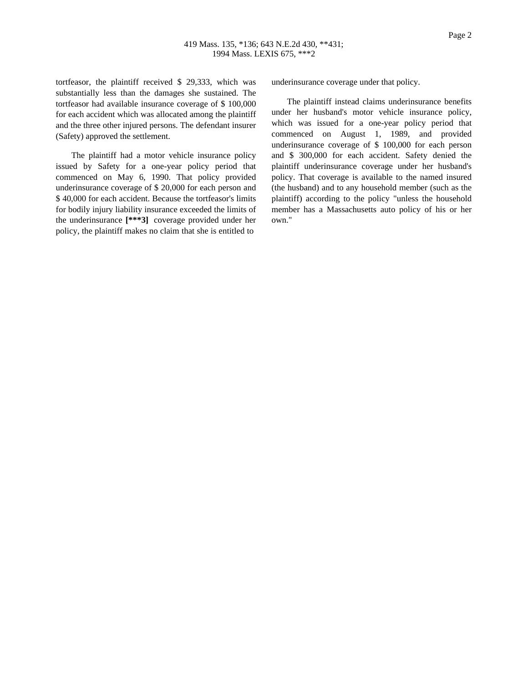tortfeasor, the plaintiff received \$ 29,333, which was substantially less than the damages she sustained. The tortfeasor had available insurance coverage of \$ 100,000 for each accident which was allocated among the plaintiff and the three other injured persons. The defendant insurer (Safety) approved the settlement.

The plaintiff had a motor vehicle insurance policy issued by Safety for a one-year policy period that commenced on May 6, 1990. That policy provided underinsurance coverage of \$ 20,000 for each person and \$ 40,000 for each accident. Because the tortfeasor's limits for bodily injury liability insurance exceeded the limits of the underinsurance **[\*\*\*3]** coverage provided under her policy, the plaintiff makes no claim that she is entitled to

underinsurance coverage under that policy.

The plaintiff instead claims underinsurance benefits under her husband's motor vehicle insurance policy, which was issued for a one-year policy period that commenced on August 1, 1989, and provided underinsurance coverage of \$ 100,000 for each person and \$ 300,000 for each accident. Safety denied the plaintiff underinsurance coverage under her husband's policy. That coverage is available to the named insured (the husband) and to any household member (such as the plaintiff) according to the policy "unless the household member has a Massachusetts auto policy of his or her own."